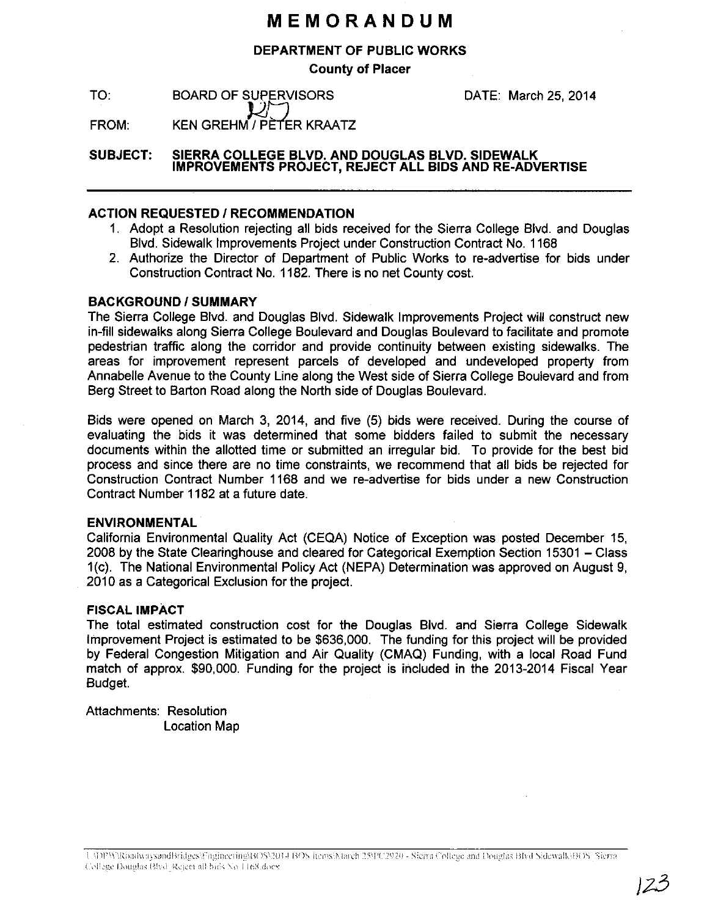## **MEMORANDUM**

#### **DEPARTMENT OF PUBLIC WORKS**

**County of Placer** 

TO: BOARD OF SUPERVISORS DATE: March 25, 2014

FROM:  $\mathcal{L} \cup$ KEN GREHM / PÈTER KRAATZ

**SUBJECT: SIERRA COLLEGE BLVD. AND DOUGLAS BLVD. SIDEWALK IMPROVEMENTS PROJECT, REJECT ALL BIDS AND RE-ADVERTISE** 

### **ACTION REQUESTED I RECOMMENDATION**

- 1. Adopt a Resolution rejecting all bids received for the Sierra College Blvd. and Douglas Blvd. Sidewalk Improvements Project under Construction Contract No. 1168
- 2. Authorize the Director of Department of Public Works to re-advertise for bids under Construction Contract No. 1182. There is no net County cost.

### **BACKGROUND/SUMMARY**

The Sierra College Blvd. and Douglas Blvd. Sidewalk Improvements Project will construct new in-fill sidewalks along Sierra College Boulevard and Douglas Boulevard to facilitate and promote pedestrian traffic along the corridor and provide continuity between existing sidewalks. The areas for improvement represent parcels of developed and undeveloped property from Annabelle Avenue to the County Line along the West side of Sierra College Boulevard and from Berg Street to Barton Road along the North side of Douglas Boulevard.

Bids were opened on March 3, 2014, and five (5) bids were received. During the course of evaluating the bids it was determined that some bidders failed to submit the necessary documents within the allotted time or submitted an irregular bid. To provide for the best bid process and since there are no time constraints, we recommend that all bids be rejected for Construction Contract Number 1168 and we re-advertise for bids under a new Construction Contract Number 1182 at a future date.

#### **ENVIRONMENTAL**

California Environmental Quality Act (CEQA) Notice of Exception was posted December 15, 2008 by the State Clearinghouse and cleared for Categorical Exemption Section 15301 - Class 1(c). The National Environmental Policy Act (NEPA) Determination was approved on August 9, 2010 as a Categorical Exclusion for the project.

#### **FISCAL IMPACT**

The total estimated construction cost for the Douglas Blvd. and Sierra College Sidewalk Improvement Project is estimated to be \$636,000. The funding for this project will be provided by Federal Congestion Mitigation and Air Quality (CMAQ) Funding, with a local Road Fund match of approx. \$90,000. Funding for the project is included in the 2013-2014 Fiscal Year Budget.

Attachments: Resolution Location Map

U;JDPW\RoadwaysandBridges\Fngineering\BOS\2014 BOS items\March 25PC2920 - Sierra College and Douglas BIvd Sidewalk\BOS Sierra College Douglas Blvd\_Reject all bids No 1168.docx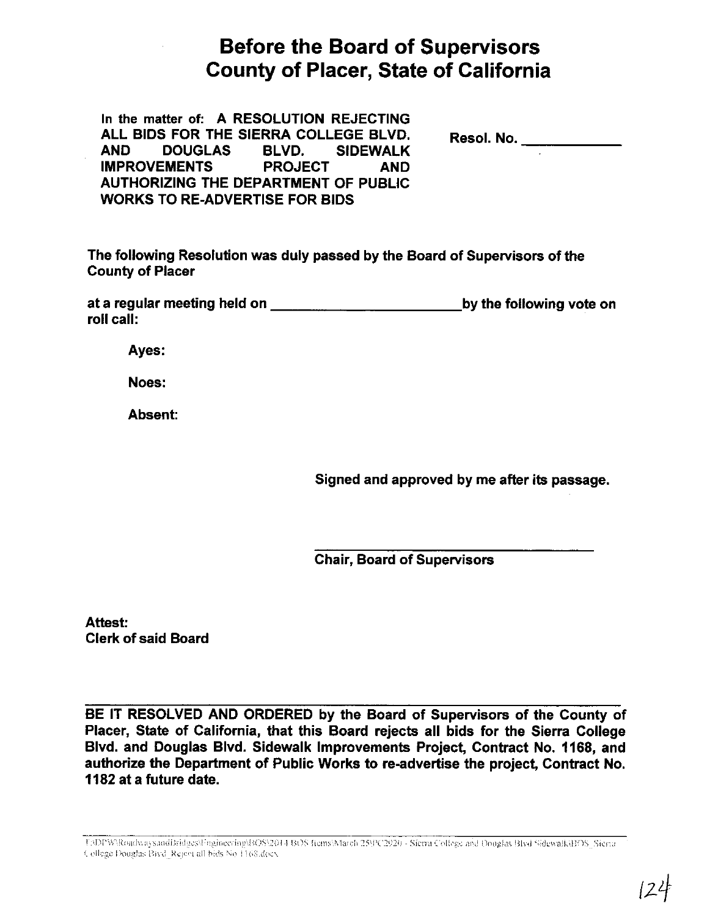# **Before the Board of Supervisors County of Placer, State of California**

| In the matter of: A RESOLUTION REJECTING |                            |                |            |            |  |
|------------------------------------------|----------------------------|----------------|------------|------------|--|
| ALL BIDS FOR THE SIERRA COLLEGE BLVD.    |                            |                |            | Resol. No. |  |
|                                          | AND DOUGLAS BLVD. SIDEWALK |                |            |            |  |
|                                          | <b>IMPROVEMENTS</b>        | <b>PROJECT</b> | <b>AND</b> |            |  |
| AUTHORIZING THE DEPARTMENT OF PUBLIC     |                            |                |            |            |  |
| <b>WORKS TO RE-ADVERTISE FOR BIDS</b>    |                            |                |            |            |  |

The following Resolution was duly passed by the Board of Supervisors of the **County of Placer** 

at a regular meeting held on **the contract of the contract of the contract of the contract of the contract of the contract of the contract of the contract of the contract of the contract of the contract of the contract of** by the following vote on roll call:

Ayes:

Noes:

Absent:

Signed and approved by me after its passage.

**Chair, Board of Supervisors** 

Attest: **Clerk of said Board** 

BE IT RESOLVED AND ORDERED by the Board of Supervisors of the County of Placer, State of California, that this Board rejects all bids for the Sierra College Blvd. and Douglas Blvd. Sidewalk Improvements Project, Contract No. 1168, and authorize the Department of Public Works to re-advertise the project, Contract No. 1182 at a future date.

TADPW\RoadwaysandBridges\Fngineering\BOS\2014 BOS fiems\March 25\PC2920 - Sierra College and Douglas Blvd Sidewalk\IfOS\_Sierra College Douglas Bivd. Reject all bids No. 1168.docx.